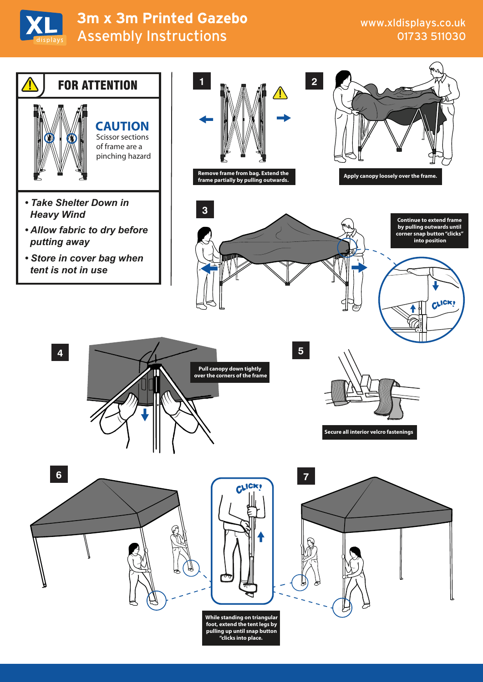

## Assembly Instructions **3m x 3m Printed Gazebo**